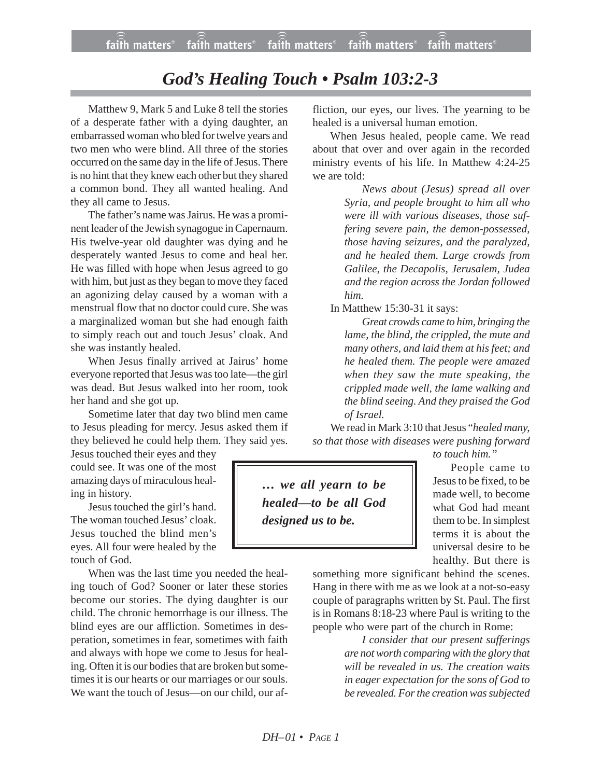## *God's Healing Touch • Psalm 103:2-3*

Matthew 9, Mark 5 and Luke 8 tell the stories of a desperate father with a dying daughter, an embarrassed woman who bled for twelve years and two men who were blind. All three of the stories occurred on the same day in the life of Jesus. There is no hint that they knew each other but they shared a common bond. They all wanted healing. And they all came to Jesus.

The father's name was Jairus. He was a prominent leader of the Jewish synagogue in Capernaum. His twelve-year old daughter was dying and he desperately wanted Jesus to come and heal her. He was filled with hope when Jesus agreed to go with him, but just as they began to move they faced an agonizing delay caused by a woman with a menstrual flow that no doctor could cure. She was a marginalized woman but she had enough faith to simply reach out and touch Jesus' cloak. And she was instantly healed.

When Jesus finally arrived at Jairus' home everyone reported that Jesus was too late—the girl was dead. But Jesus walked into her room, took her hand and she got up.

Sometime later that day two blind men came to Jesus pleading for mercy. Jesus asked them if they believed he could help them. They said yes.

Jesus touched their eyes and they could see. It was one of the most amazing days of miraculous healing in history.

Jesus touched the girl's hand. The woman touched Jesus' cloak. Jesus touched the blind men's eyes. All four were healed by the touch of God.

When was the last time you needed the healing touch of God? Sooner or later these stories become our stories. The dying daughter is our child. The chronic hemorrhage is our illness. The blind eyes are our affliction. Sometimes in desperation, sometimes in fear, sometimes with faith and always with hope we come to Jesus for healing. Often it is our bodies that are broken but sometimes it is our hearts or our marriages or our souls. We want the touch of Jesus—on our child, our affliction, our eyes, our lives. The yearning to be healed is a universal human emotion.

When Jesus healed, people came. We read about that over and over again in the recorded ministry events of his life. In Matthew 4:24-25 we are told:

> *News about (Jesus) spread all over Syria, and people brought to him all who were ill with various diseases, those suffering severe pain, the demon-possessed, those having seizures, and the paralyzed, and he healed them. Large crowds from Galilee, the Decapolis, Jerusalem, Judea and the region across the Jordan followed him.*

In Matthew 15:30-31 it says:

*Great crowds came to him, bringing the lame, the blind, the crippled, the mute and many others, and laid them at his feet; and he healed them. The people were amazed when they saw the mute speaking, the crippled made well, the lame walking and the blind seeing. And they praised the God of Israel.*

We read in Mark 3:10 that Jesus "*healed many, so that those with diseases were pushing forward*

*… we all yearn to be healed—to be all God designed us to be.*

*to touch him."*

People came to Jesus to be fixed, to be made well, to become what God had meant them to be. In simplest terms it is about the universal desire to be healthy. But there is

something more significant behind the scenes. Hang in there with me as we look at a not-so-easy couple of paragraphs written by St. Paul. The first is in Romans 8:18-23 where Paul is writing to the people who were part of the church in Rome:

> *I consider that our present sufferings are not worth comparing with the glory that will be revealed in us. The creation waits in eager expectation for the sons of God to be revealed. For the creation was subjected*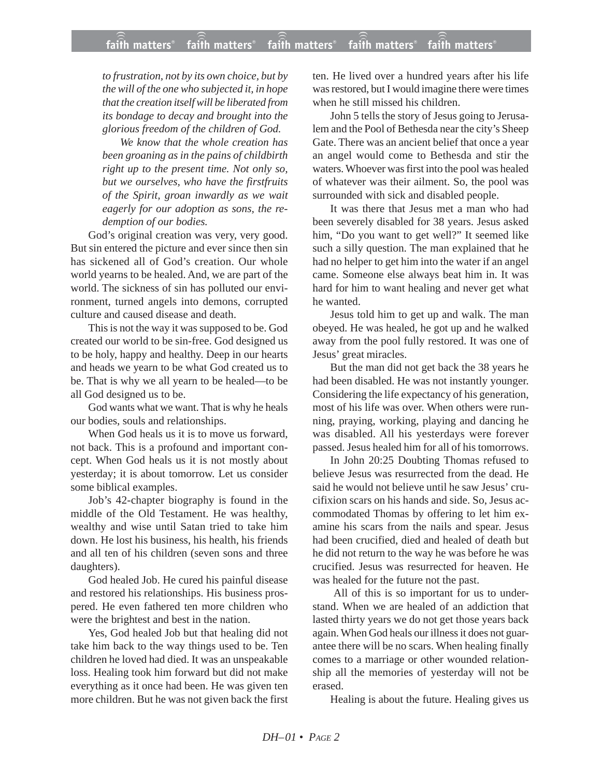*to frustration, not by its own choice, but by the will of the one who subjected it, in hope that the creation itself will be liberated from its bondage to decay and brought into the glorious freedom of the children of God.*

*We know that the whole creation has been groaning as in the pains of childbirth right up to the present time. Not only so, but we ourselves, who have the firstfruits of the Spirit, groan inwardly as we wait eagerly for our adoption as sons, the redemption of our bodies.*

God's original creation was very, very good. But sin entered the picture and ever since then sin has sickened all of God's creation. Our whole world yearns to be healed. And, we are part of the world. The sickness of sin has polluted our environment, turned angels into demons, corrupted culture and caused disease and death.

This is not the way it was supposed to be. God created our world to be sin-free. God designed us to be holy, happy and healthy. Deep in our hearts and heads we yearn to be what God created us to be. That is why we all yearn to be healed—to be all God designed us to be.

God wants what we want. That is why he heals our bodies, souls and relationships.

When God heals us it is to move us forward. not back. This is a profound and important concept. When God heals us it is not mostly about yesterday; it is about tomorrow. Let us consider some biblical examples.

Job's 42-chapter biography is found in the middle of the Old Testament. He was healthy, wealthy and wise until Satan tried to take him down. He lost his business, his health, his friends and all ten of his children (seven sons and three daughters).

God healed Job. He cured his painful disease and restored his relationships. His business prospered. He even fathered ten more children who were the brightest and best in the nation.

Yes, God healed Job but that healing did not take him back to the way things used to be. Ten children he loved had died. It was an unspeakable loss. Healing took him forward but did not make everything as it once had been. He was given ten more children. But he was not given back the first ten. He lived over a hundred years after his life was restored, but I would imagine there were times when he still missed his children.

John 5 tells the story of Jesus going to Jerusalem and the Pool of Bethesda near the city's Sheep Gate. There was an ancient belief that once a year an angel would come to Bethesda and stir the waters. Whoever was first into the pool was healed of whatever was their ailment. So, the pool was surrounded with sick and disabled people.

It was there that Jesus met a man who had been severely disabled for 38 years. Jesus asked him, "Do you want to get well?" It seemed like such a silly question. The man explained that he had no helper to get him into the water if an angel came. Someone else always beat him in. It was hard for him to want healing and never get what he wanted.

Jesus told him to get up and walk. The man obeyed. He was healed, he got up and he walked away from the pool fully restored. It was one of Jesus' great miracles.

But the man did not get back the 38 years he had been disabled. He was not instantly younger. Considering the life expectancy of his generation, most of his life was over. When others were running, praying, working, playing and dancing he was disabled. All his yesterdays were forever passed. Jesus healed him for all of his tomorrows.

In John 20:25 Doubting Thomas refused to believe Jesus was resurrected from the dead. He said he would not believe until he saw Jesus' crucifixion scars on his hands and side. So, Jesus accommodated Thomas by offering to let him examine his scars from the nails and spear. Jesus had been crucified, died and healed of death but he did not return to the way he was before he was crucified. Jesus was resurrected for heaven. He was healed for the future not the past.

All of this is so important for us to understand. When we are healed of an addiction that lasted thirty years we do not get those years back again. When God heals our illness it does not guarantee there will be no scars. When healing finally comes to a marriage or other wounded relationship all the memories of yesterday will not be erased.

Healing is about the future. Healing gives us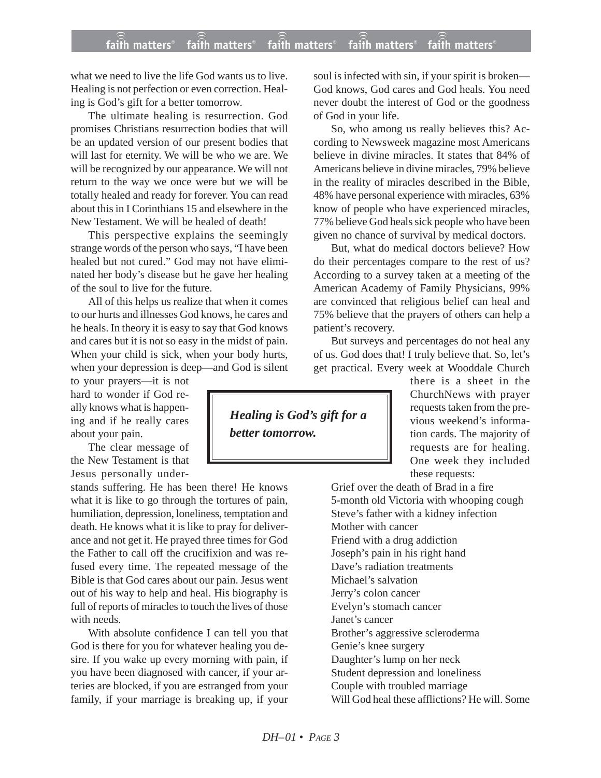what we need to live the life God wants us to live. Healing is not perfection or even correction. Healing is God's gift for a better tomorrow.

The ultimate healing is resurrection. God promises Christians resurrection bodies that will be an updated version of our present bodies that will last for eternity. We will be who we are. We will be recognized by our appearance. We will not return to the way we once were but we will be totally healed and ready for forever. You can read about this in I Corinthians 15 and elsewhere in the New Testament. We will be healed of death!

This perspective explains the seemingly strange words of the person who says, "I have been healed but not cured." God may not have eliminated her body's disease but he gave her healing of the soul to live for the future.

All of this helps us realize that when it comes to our hurts and illnesses God knows, he cares and he heals. In theory it is easy to say that God knows and cares but it is not so easy in the midst of pain. When your child is sick, when your body hurts, when your depression is deep—and God is silent

to your prayers—it is not hard to wonder if God really knows what is happening and if he really cares about your pain.

The clear message of the New Testament is that Jesus personally under-

stands suffering. He has been there! He knows what it is like to go through the tortures of pain, humiliation, depression, loneliness, temptation and death. He knows what it is like to pray for deliverance and not get it. He prayed three times for God the Father to call off the crucifixion and was refused every time. The repeated message of the Bible is that God cares about our pain. Jesus went out of his way to help and heal. His biography is full of reports of miracles to touch the lives of those with needs.

With absolute confidence I can tell you that God is there for you for whatever healing you desire. If you wake up every morning with pain, if you have been diagnosed with cancer, if your arteries are blocked, if you are estranged from your family, if your marriage is breaking up, if your

soul is infected with sin, if your spirit is broken— God knows, God cares and God heals. You need never doubt the interest of God or the goodness of God in your life.

So, who among us really believes this? According to Newsweek magazine most Americans believe in divine miracles. It states that 84% of Americans believe in divine miracles, 79% believe in the reality of miracles described in the Bible, 48% have personal experience with miracles, 63% know of people who have experienced miracles, 77% believe God heals sick people who have been given no chance of survival by medical doctors.

But, what do medical doctors believe? How do their percentages compare to the rest of us? According to a survey taken at a meeting of the American Academy of Family Physicians, 99% are convinced that religious belief can heal and 75% believe that the prayers of others can help a patient's recovery.

But surveys and percentages do not heal any of us. God does that! I truly believe that. So, let's get practical. Every week at Wooddale Church

there is a sheet in the ChurchNews with prayer requests taken from the previous weekend's information cards. The majority of requests are for healing. One week they included these requests:

Grief over the death of Brad in a fire 5-month old Victoria with whooping cough Steve's father with a kidney infection Mother with cancer Friend with a drug addiction Joseph's pain in his right hand Dave's radiation treatments Michael's salvation Jerry's colon cancer Evelyn's stomach cancer Janet's cancer Brother's aggressive scleroderma Genie's knee surgery Daughter's lump on her neck Student depression and loneliness Couple with troubled marriage Will God heal these afflictions? He will. Some

*Healing is God's gift for a better tomorrow.*